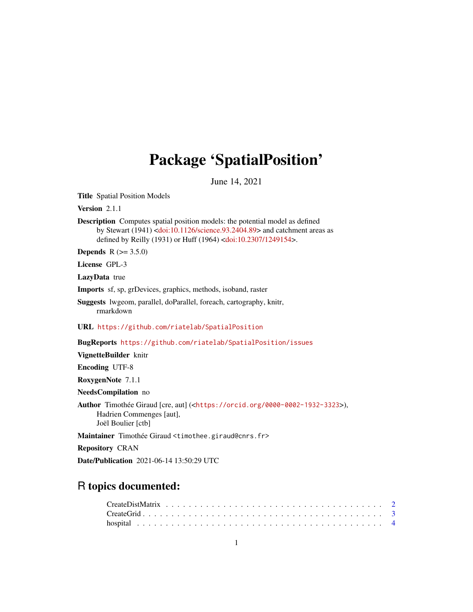## Package 'SpatialPosition'

June 14, 2021

<span id="page-0-0"></span>Title Spatial Position Models

Version 2.1.1

Description Computes spatial position models: the potential model as defined by Stewart (1941) [<doi:10.1126/science.93.2404.89>](https://doi.org/10.1126/science.93.2404.89) and catchment areas as defined by Reilly (1931) or Huff (1964) [<doi:10.2307/1249154>](https://doi.org/10.2307/1249154).

**Depends**  $R (= 3.5.0)$ 

License GPL-3

LazyData true

Imports sf, sp, grDevices, graphics, methods, isoband, raster

Suggests lwgeom, parallel, doParallel, foreach, cartography, knitr, rmarkdown

URL <https://github.com/riatelab/SpatialPosition>

BugReports <https://github.com/riatelab/SpatialPosition/issues>

VignetteBuilder knitr

Encoding UTF-8

RoxygenNote 7.1.1

NeedsCompilation no

Author Timothée Giraud [cre, aut] (<<https://orcid.org/0000-0002-1932-3323>>), Hadrien Commenges [aut], Joël Boulier [ctb]

Maintainer Timothée Giraud <timothee.giraud@cnrs.fr>

Repository CRAN

Date/Publication 2021-06-14 13:50:29 UTC

## R topics documented:

| $CreateGrid \dots \dots \dots \dots \dots \dots \dots \dots \dots \dots \dots \dots \dots \dots \dots \dots \dots \dots$ |  |  |  |  |  |  |  |  |  |  |  |  |  |  |  |  |  |  |  |  |
|--------------------------------------------------------------------------------------------------------------------------|--|--|--|--|--|--|--|--|--|--|--|--|--|--|--|--|--|--|--|--|
|                                                                                                                          |  |  |  |  |  |  |  |  |  |  |  |  |  |  |  |  |  |  |  |  |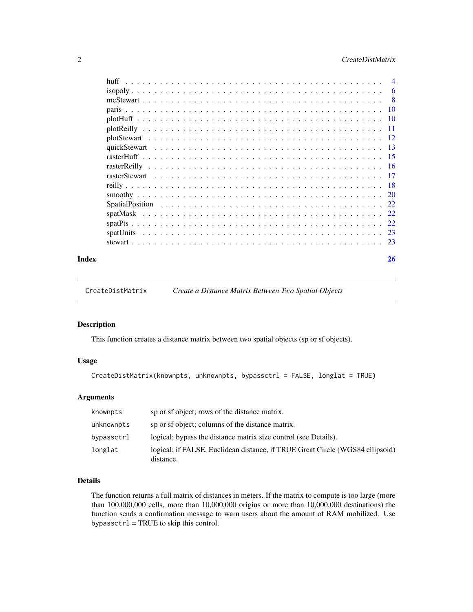## <span id="page-1-0"></span>2 CreateDistMatrix

| huff  |    |
|-------|----|
|       |    |
|       |    |
|       |    |
|       |    |
|       |    |
|       |    |
|       |    |
|       |    |
|       |    |
|       |    |
|       |    |
|       |    |
|       |    |
|       |    |
|       |    |
|       |    |
|       |    |
| Index | 26 |

<span id="page-1-1"></span>CreateDistMatrix *Create a Distance Matrix Between Two Spatial Objects*

## Description

This function creates a distance matrix between two spatial objects (sp or sf objects).

## Usage

```
CreateDistMatrix(knownpts, unknownpts, bypassctrl = FALSE, longlat = TRUE)
```
## Arguments

| knownpts   | sp or sf object; rows of the distance matrix.                                              |
|------------|--------------------------------------------------------------------------------------------|
| unknownpts | sp or sf object; columns of the distance matrix.                                           |
| bypassctrl | logical; bypass the distance matrix size control (see Details).                            |
| longlat    | logical; if FALSE, Euclidean distance, if TRUE Great Circle (WGS84 ellipsoid)<br>distance. |

## Details

The function returns a full matrix of distances in meters. If the matrix to compute is too large (more than 100,000,000 cells, more than 10,000,000 origins or more than 10,000,000 destinations) the function sends a confirmation message to warn users about the amount of RAM mobilized. Use bypassc $tr1 = TRUE$  to skip this control.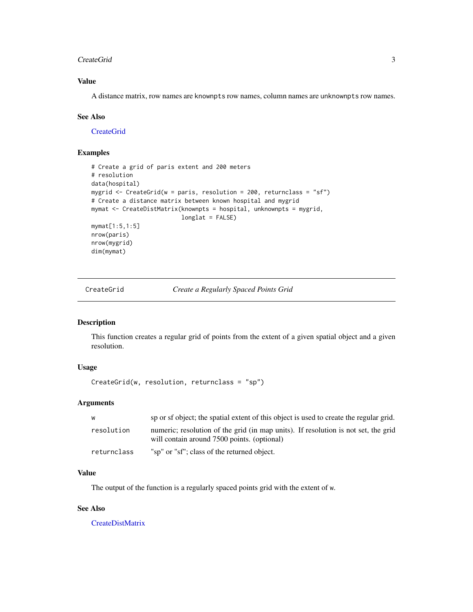#### <span id="page-2-0"></span>CreateGrid 3

## Value

A distance matrix, row names are knownpts row names, column names are unknownpts row names.

### See Also

**[CreateGrid](#page-2-1)** 

## Examples

```
# Create a grid of paris extent and 200 meters
# resolution
data(hospital)
mygrid <- CreateGrid(w = paris, resolution = 200, returnclass = "sf")
# Create a distance matrix between known hospital and mygrid
mymat <- CreateDistMatrix(knownpts = hospital, unknownpts = mygrid,
                          longlat = FALSE)
mymat[1:5,1:5]
nrow(paris)
nrow(mygrid)
dim(mymat)
```
<span id="page-2-1"></span>CreateGrid *Create a Regularly Spaced Points Grid*

#### Description

This function creates a regular grid of points from the extent of a given spatial object and a given resolution.

#### Usage

CreateGrid(w, resolution, returnclass = "sp")

## Arguments

| w           | sp or sf object; the spatial extent of this object is used to create the regular grid.                                            |
|-------------|-----------------------------------------------------------------------------------------------------------------------------------|
| resolution  | numeric; resolution of the grid (in map units). If resolution is not set, the grid<br>will contain around 7500 points. (optional) |
| returnclass | "sp" or "sf"; class of the returned object.                                                                                       |

## Value

The output of the function is a regularly spaced points grid with the extent of w.

## See Also

[CreateDistMatrix](#page-1-1)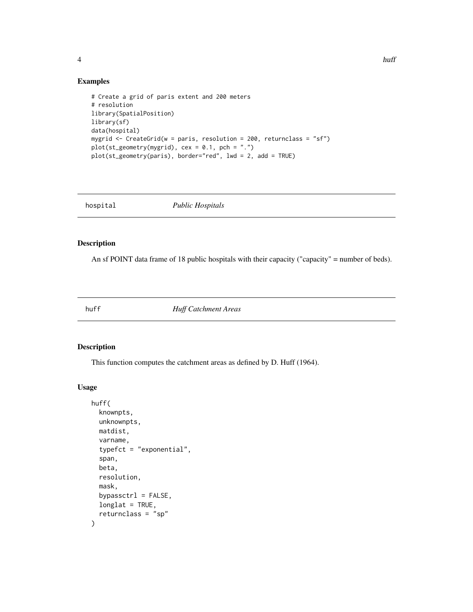<span id="page-3-0"></span>

## Examples

```
# Create a grid of paris extent and 200 meters
# resolution
library(SpatialPosition)
library(sf)
data(hospital)
mygrid <- CreateGrid(w = paris, resolution = 200, returnclass = "sf")
plot(st_geometry(mygrid), cex = 0.1, pch = ".")
plot(st_geometry(paris), border="red", lwd = 2, add = TRUE)
```
hospital *Public Hospitals*

## Description

An sf POINT data frame of 18 public hospitals with their capacity ("capacity" = number of beds).

<span id="page-3-1"></span>

huff *Huff Catchment Areas*

## Description

This function computes the catchment areas as defined by D. Huff (1964).

#### Usage

```
huff(
  knownpts,
 unknownpts,
 matdist,
  varname,
  typefct = "exponential",
  span,
 beta,
  resolution,
 mask,
 bypassctrl = FALSE,longlat = TRUE,
  returnclass = "sp"
)
```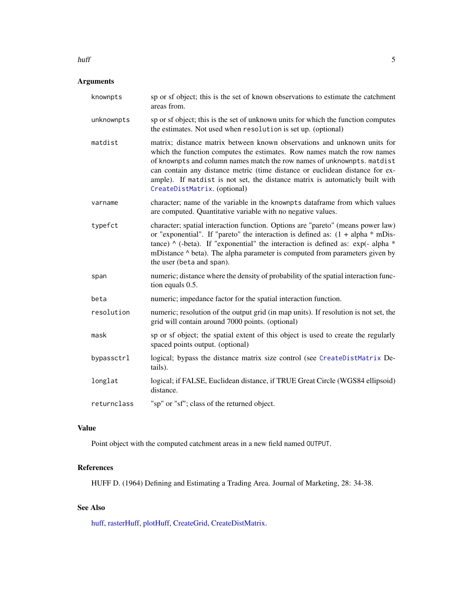## Arguments

| knownpts    | sp or sf object; this is the set of known observations to estimate the catchment<br>areas from.                                                                                                                                                                                                                                                                                                                                 |
|-------------|---------------------------------------------------------------------------------------------------------------------------------------------------------------------------------------------------------------------------------------------------------------------------------------------------------------------------------------------------------------------------------------------------------------------------------|
| unknownpts  | sp or sf object; this is the set of unknown units for which the function computes<br>the estimates. Not used when resolution is set up. (optional)                                                                                                                                                                                                                                                                              |
| matdist     | matrix; distance matrix between known observations and unknown units for<br>which the function computes the estimates. Row names match the row names<br>of knownpts and column names match the row names of unknownpts. matdist<br>can contain any distance metric (time distance or euclidean distance for ex-<br>ample). If matdist is not set, the distance matrix is automaticly built with<br>CreateDistMatrix. (optional) |
| varname     | character; name of the variable in the knownpts dataframe from which values<br>are computed. Quantitative variable with no negative values.                                                                                                                                                                                                                                                                                     |
| typefct     | character; spatial interaction function. Options are "pareto" (means power law)<br>or "exponential". If "pareto" the interaction is defined as: $(1 + alpha * mDis-$<br>tance) $\wedge$ (-beta). If "exponential" the interaction is defined as: exp(-alpha $*$<br>mDistance ^ beta). The alpha parameter is computed from parameters given by<br>the user (beta and span).                                                     |
| span        | numeric; distance where the density of probability of the spatial interaction func-<br>tion equals 0.5.                                                                                                                                                                                                                                                                                                                         |
| beta        | numeric; impedance factor for the spatial interaction function.                                                                                                                                                                                                                                                                                                                                                                 |
| resolution  | numeric; resolution of the output grid (in map units). If resolution is not set, the<br>grid will contain around 7000 points. (optional)                                                                                                                                                                                                                                                                                        |
| mask        | sp or sf object; the spatial extent of this object is used to create the regularly<br>spaced points output. (optional)                                                                                                                                                                                                                                                                                                          |
| bypassctrl  | logical; bypass the distance matrix size control (see CreateDistMatrix De-<br>tails).                                                                                                                                                                                                                                                                                                                                           |
| longlat     | logical; if FALSE, Euclidean distance, if TRUE Great Circle (WGS84 ellipsoid)<br>distance.                                                                                                                                                                                                                                                                                                                                      |
| returnclass | "sp" or "sf"; class of the returned object.                                                                                                                                                                                                                                                                                                                                                                                     |

## Value

Point object with the computed catchment areas in a new field named OUTPUT.

## References

HUFF D. (1964) Defining and Estimating a Trading Area. Journal of Marketing, 28: 34-38.

## See Also

[huff,](#page-3-1) [rasterHuff,](#page-14-1) [plotHuff,](#page-9-1) [CreateGrid,](#page-2-1) [CreateDistMatrix.](#page-1-1)

#### <span id="page-4-0"></span>huff 5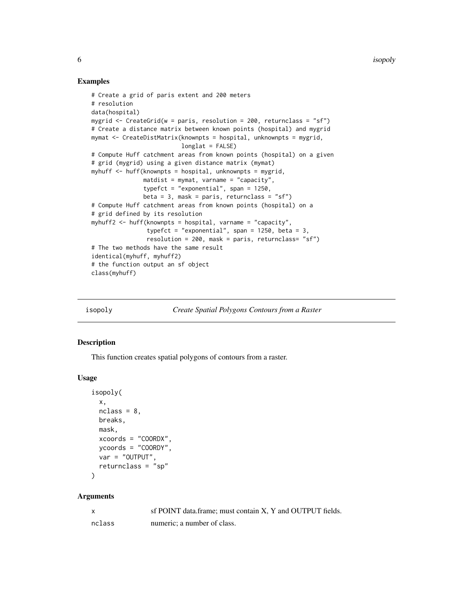#### Examples

```
# Create a grid of paris extent and 200 meters
# resolution
data(hospital)
mygrid \le CreateGrid(w = paris, resolution = 200, returnclass = "sf")
# Create a distance matrix between known points (hospital) and mygrid
mymat <- CreateDistMatrix(knownpts = hospital, unknownpts = mygrid,
                          longlat = FALSE)
# Compute Huff catchment areas from known points (hospital) on a given
# grid (mygrid) using a given distance matrix (mymat)
myhuff <- huff(knownpts = hospital, unknownpts = mygrid,
               matdist = mymat, varname = "capacity",
               typefct = "exponential", span = 1250,
               beta = 3, mask = paris, returnclass = "sf")
# Compute Huff catchment areas from known points (hospital) on a
# grid defined by its resolution
myhuff2 <- huff(knownpts = hospital, varname = "capacity",
                typefct = "exponential", span = 1250, beta = 3,
                resolution = 200, mask = paris, returnclass= "sf")
# The two methods have the same result
identical(myhuff, myhuff2)
# the function output an sf object
class(myhuff)
```
<span id="page-5-1"></span>isopoly *Create Spatial Polygons Contours from a Raster*

#### Description

This function creates spatial polygons of contours from a raster.

### Usage

```
isopoly(
  x,
 nclass = 8,
 breaks,
 mask,
 xcoords = "COORDX",
 ycoords = "COORDY",
  var = "OUTPUT",
  returnclass = "sp"
)
```

| X      | sf POINT data.frame; must contain X, Y and OUTPUT fields. |
|--------|-----------------------------------------------------------|
| nclass | numeric: a number of class.                               |

<span id="page-5-0"></span>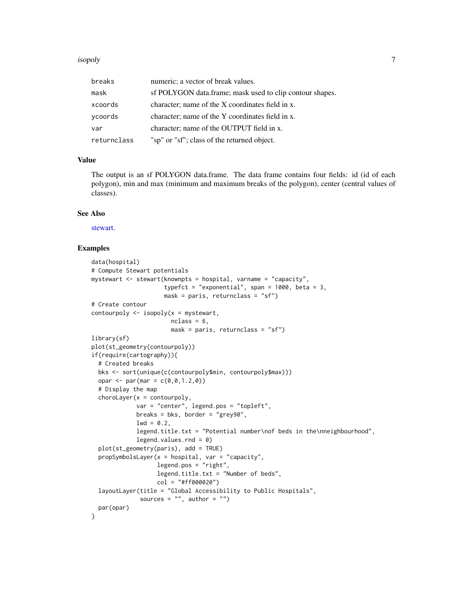#### <span id="page-6-0"></span>isopoly and the set of the set of the set of the set of the set of the set of the set of the set of the set of the set of the set of the set of the set of the set of the set of the set of the set of the set of the set of t

| breaks      | numeric; a vector of break values.                       |
|-------------|----------------------------------------------------------|
| mask        | sf POLYGON data.frame; mask used to clip contour shapes. |
| xcoords     | character; name of the X coordinates field in x.         |
| ycoords     | character; name of the Y coordinates field in x.         |
| var         | character; name of the OUTPUT field in x.                |
| returnclass | "sp" or "sf"; class of the returned object.              |

#### Value

The output is an sf POLYGON data.frame. The data frame contains four fields: id (id of each polygon), min and max (minimum and maximum breaks of the polygon), center (central values of classes).

#### See Also

[stewart.](#page-22-1)

```
data(hospital)
# Compute Stewart potentials
mystewart <- stewart(knownpts = hospital, varname = "capacity",
                     typefct = "exponential", span = 1000, beta = 3,
                     mask = pairs, returns = "sf")# Create contour
contourpoly \leq isopoly(x = mystewart,
                       nclass = 6,
                       mask = paris, returnclass = "sf")
library(sf)
plot(st_geometry(contourpoly))
if(require(cartography)){
 # Created breaks
 bks <- sort(unique(c(contourpoly$min, contourpoly$max)))
 opar <- par(mar = c(\emptyset, \emptyset, 1.2, \emptyset))
 # Display the map
 chorolayer(x = contourpoly,var = "center", legend.pos = "topleft",
             breaks = bks, border = "grey90",
             1wd = 0.2,legend.title.txt = "Potential number\nof beds in the\nneighbourhood",
             legend.values.rnd = 0)
 plot(st_geometry(paris), add = TRUE)
 propSymbolsLayer(x = hospital, var = "capacity",
                   legend.pos = "right",
                   legend.title.txt = "Number of beds",
                   col = "#ff000020")
 layoutLayer(title = "Global Accessibility to Public Hospitals",
              sources = ", author = ")
 par(opar)
}
```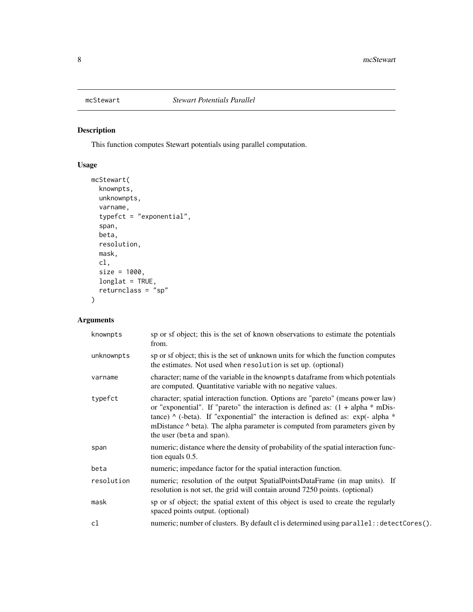<span id="page-7-0"></span>

## Description

This function computes Stewart potentials using parallel computation.

## Usage

```
mcStewart(
  knownpts,
  unknownpts,
  varname,
  typefct = "exponential",
  span,
  beta,
  resolution,
  mask,
  cl,
  size = 1000,
  longlat = TRUE,returnclass = "sp"
)
```

| knownpts   | sp or sf object; this is the set of known observations to estimate the potentials<br>from.                                                                                                                                                                                                                                                                                          |
|------------|-------------------------------------------------------------------------------------------------------------------------------------------------------------------------------------------------------------------------------------------------------------------------------------------------------------------------------------------------------------------------------------|
| unknownpts | sp or sf object; this is the set of unknown units for which the function computes<br>the estimates. Not used when resolution is set up. (optional)                                                                                                                                                                                                                                  |
| varname    | character; name of the variable in the knownpts dataframe from which potentials<br>are computed. Quantitative variable with no negative values.                                                                                                                                                                                                                                     |
| typefct    | character; spatial interaction function. Options are "pareto" (means power law)<br>or "exponential". If "pareto" the interaction is defined as: $(1 + alpha * mDis-$<br>tance) $\wedge$ (-beta). If "exponential" the interaction is defined as: exp(- alpha $*$<br>mDistance $\wedge$ beta). The alpha parameter is computed from parameters given by<br>the user (beta and span). |
| span       | numeric; distance where the density of probability of the spatial interaction func-<br>tion equals 0.5.                                                                                                                                                                                                                                                                             |
| beta       | numeric; impedance factor for the spatial interaction function.                                                                                                                                                                                                                                                                                                                     |
| resolution | numeric; resolution of the output SpatialPointsDataFrame (in map units). If<br>resolution is not set, the grid will contain around 7250 points. (optional)                                                                                                                                                                                                                          |
| mask       | sp or sf object; the spatial extent of this object is used to create the regularly<br>spaced points output. (optional)                                                                                                                                                                                                                                                              |
| cl         | numeric; number of clusters. By default cl is determined using parallel: : detectCores().                                                                                                                                                                                                                                                                                           |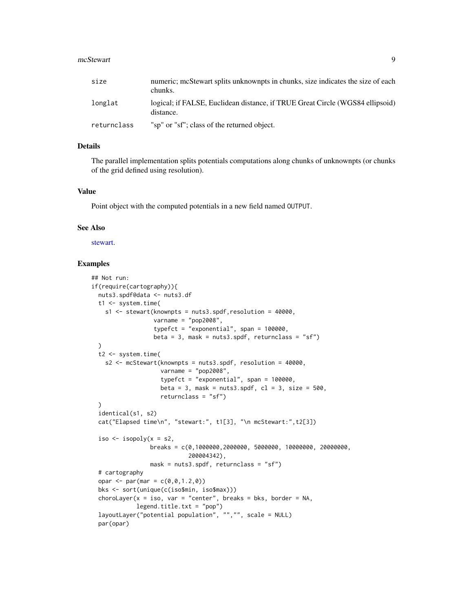#### <span id="page-8-0"></span>mcStewart 9

| size        | numeric; mcStewart splits unknownpts in chunks, size indicates the size of each<br>chunks. |
|-------------|--------------------------------------------------------------------------------------------|
| longlat     | logical; if FALSE, Euclidean distance, if TRUE Great Circle (WGS84 ellipsoid)<br>distance. |
| returnclass | "sp" or "sf"; class of the returned object.                                                |

#### Details

The parallel implementation splits potentials computations along chunks of unknownpts (or chunks of the grid defined using resolution).

#### Value

Point object with the computed potentials in a new field named OUTPUT.

#### See Also

[stewart.](#page-22-1)

```
## Not run:
if(require(cartography)){
 nuts3.spdf@data <- nuts3.df
  t1 <- system.time(
    s1 \le stewart(knownpts = nuts3.spdf, resolution = 40000,
                  varname = "pop2008",
                  typefct = "exponential", span = 100000,
                  beta = 3, mask = nuts3.spdf, returnclass = "sf")
  )
  t2 <- system.time(
    s2 <- mcStewart(knownpts = nuts3.spdf, resolution = 40000,
                     varname = "pop2008",
                     typefct = "exponential", span = 100000,
                    beta = 3, mask = nuts3.spdf, cl = 3, size = 500.
                     returnclass = "sf")
  )
  identical(s1, s2)
  cat("Elapsed time\n", "stewart:", t1[3], "\n mcStewart:",t2[3])
  iso \le isopoly(x = s2,
                 breaks = c(0,1000000,2000000, 5000000, 10000000, 20000000,
                             200004342),
                 mask = nuts3.spdf, returnclass = "sf")
  # cartography
  opar <- par(mar = c(\emptyset, \emptyset, 1.2, \emptyset))
  bks <- sort(unique(c(iso$min, iso$max)))
  choroLayer(x = iso, var = "center", breaks = bks, border = NA,
             legend.title.txt = "pop")
  layoutLayer("potential population", "","", scale = NULL)
  par(opar)
```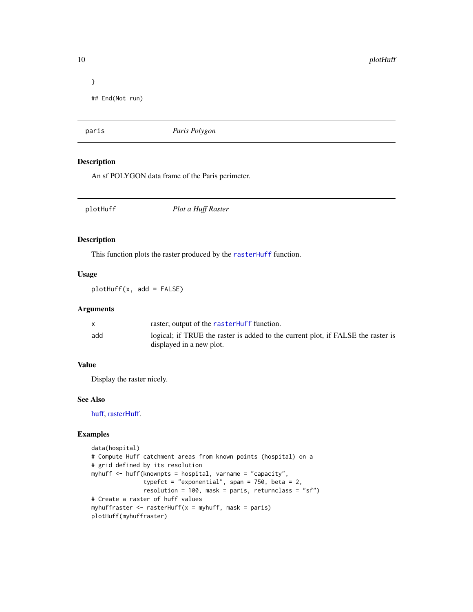```
}
## End(Not run)
```
paris *Paris Polygon*

## Description

An sf POLYGON data frame of the Paris perimeter.

<span id="page-9-1"></span>

| Plot a Huff Raster<br>plotHuff |  |
|--------------------------------|--|
|--------------------------------|--|

#### Description

This function plots the raster produced by the [rasterHuff](#page-14-1) function.

#### Usage

plotHuff(x, add = FALSE)

#### Arguments

|     | raster; output of the rasterHuff function.                                       |
|-----|----------------------------------------------------------------------------------|
| add | logical; if TRUE the raster is added to the current plot, if FALSE the raster is |
|     | displayed in a new plot.                                                         |

## Value

Display the raster nicely.

## See Also

[huff,](#page-3-1) [rasterHuff.](#page-14-1)

```
data(hospital)
# Compute Huff catchment areas from known points (hospital) on a
# grid defined by its resolution
myhuff <- huff(knownpts = hospital, varname = "capacity",
               typefct = "exponential", span = 750, beta = 2,
               resolution = 100, mask = paris, returnclass = "sf")
# Create a raster of huff values
myhuffraster \leq rasterHuff(x = myhuff, mask = paris)
plotHuff(myhuffraster)
```
<span id="page-9-0"></span>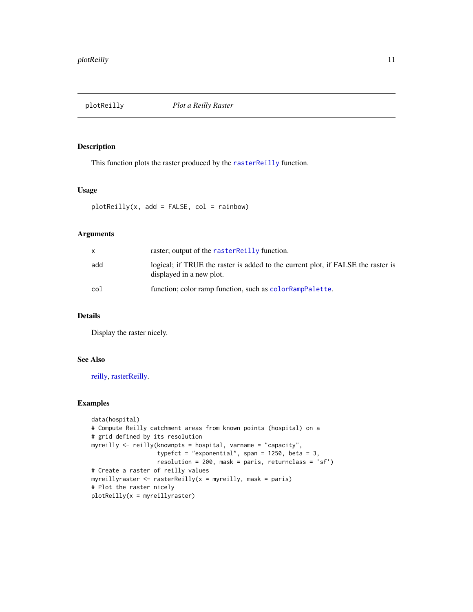<span id="page-10-1"></span><span id="page-10-0"></span>

#### Description

This function plots the raster produced by the [rasterReilly](#page-15-1) function.

#### Usage

 $plotReilly(x, add = FALSE, col = rainbow)$ 

## Arguments

| $\mathsf{x}$ | raster; output of the raster Reilly function.                                                                |
|--------------|--------------------------------------------------------------------------------------------------------------|
| add          | logical; if TRUE the raster is added to the current plot, if FALSE the raster is<br>displayed in a new plot. |
| col          | function; color ramp function, such as color RampPalette.                                                    |

## Details

Display the raster nicely.

### See Also

[reilly,](#page-17-1) [rasterReilly.](#page-15-1)

```
data(hospital)
# Compute Reilly catchment areas from known points (hospital) on a
# grid defined by its resolution
myreilly <- reilly(knownpts = hospital, varname = "capacity",
                   typefct = "exponential", span = 1250, beta = 3,
                   resolution = 200, mask = paris, returnclass = 'sf')
# Create a raster of reilly values
myreillyraster \leq rasterReilly(x = myreilly, mask = paris)
# Plot the raster nicely
plotReilly(x = myreillyraster)
```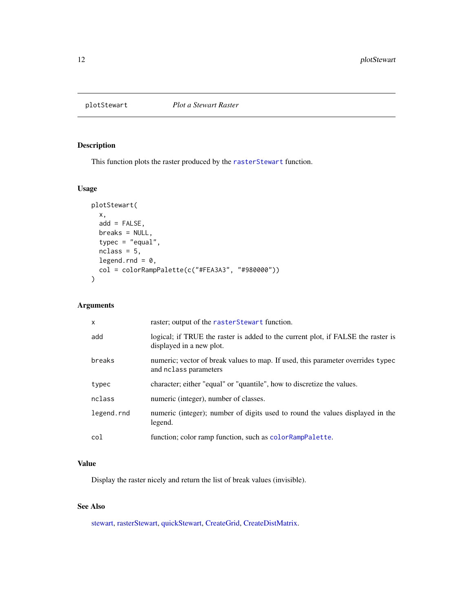<span id="page-11-1"></span><span id="page-11-0"></span>

## Description

This function plots the raster produced by the [rasterStewart](#page-16-1) function.

#### Usage

```
plotStewart(
  x,
 add = FALSE,breaks = NULL,
 typec = "equal",
 nclass = 5,
 legend.rnd = 0,
 col = colorRampPalette(c("#FEA3A3", "#980000"))
)
```
## Arguments

| $\times$   | raster; output of the raster Stewart function.                                                               |
|------------|--------------------------------------------------------------------------------------------------------------|
| add        | logical; if TRUE the raster is added to the current plot, if FALSE the raster is<br>displayed in a new plot. |
| breaks     | numeric; vector of break values to map. If used, this parameter overrides typec<br>and nclass parameters     |
| typec      | character; either "equal" or "quantile", how to discretize the values.                                       |
| nclass     | numeric (integer), number of classes.                                                                        |
| legend.rnd | numeric (integer); number of digits used to round the values displayed in the<br>legend.                     |
| col        | function; color ramp function, such as colorRampPalette.                                                     |

## Value

Display the raster nicely and return the list of break values (invisible).

## See Also

[stewart,](#page-22-1) [rasterStewart,](#page-16-1) [quickStewart,](#page-12-1) [CreateGrid,](#page-2-1) [CreateDistMatrix.](#page-1-1)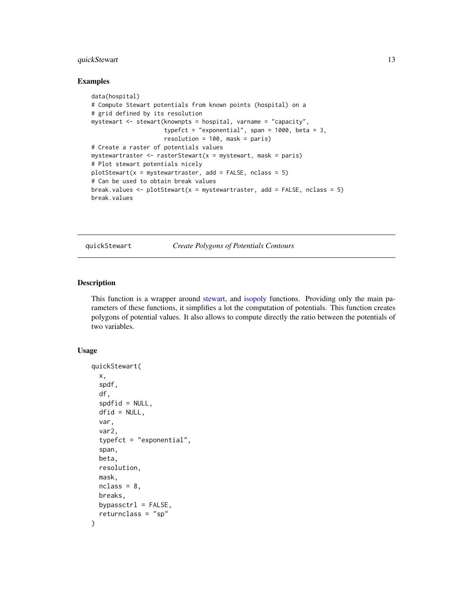## <span id="page-12-0"></span>quickStewart 13

#### Examples

```
data(hospital)
# Compute Stewart potentials from known points (hospital) on a
# grid defined by its resolution
mystewart <- stewart(knownpts = hospital, varname = "capacity",
                     typefct = "exponential", span = 1000, beta = 3,
                     resolution = 100, mask = paris)
# Create a raster of potentials values
mystewartraster \leq rasterStewart(x = mystewart, mask = paris)
# Plot stewart potentials nicely
plotstewart(x = mystewartraster, add = FALSE, nclass = 5)
# Can be used to obtain break values
break.values \leq plotStewart(x = mystewartraster, add = FALSE, nclass = 5)
break.values
```
<span id="page-12-1"></span>quickStewart *Create Polygons of Potentials Contours*

#### Description

This function is a wrapper around [stewart,](#page-22-1) and [isopoly](#page-5-1) functions. Providing only the main parameters of these functions, it simplifies a lot the computation of potentials. This function creates polygons of potential values. It also allows to compute directly the ratio between the potentials of two variables.

#### Usage

```
quickStewart(
  x,
  spdf,
  df,
  spdfid = NULL,
  dfid = NULL,
  var,
  var2,
  typefct = "exponential",
  span,
 beta,
  resolution,
 mask,
 nclass = 8,
 breaks,
 bypassctrl = FALSE,
  returnclass = "sp"
)
```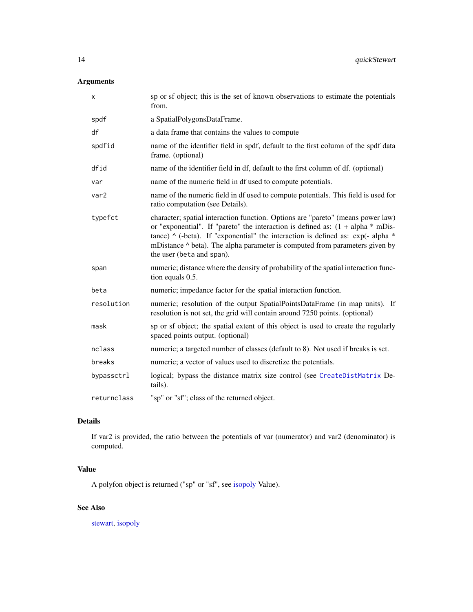## <span id="page-13-0"></span>Arguments

| x           | sp or sf object; this is the set of known observations to estimate the potentials<br>from.                                                                                                                                                                                                                                                                                  |
|-------------|-----------------------------------------------------------------------------------------------------------------------------------------------------------------------------------------------------------------------------------------------------------------------------------------------------------------------------------------------------------------------------|
| spdf        | a SpatialPolygonsDataFrame.                                                                                                                                                                                                                                                                                                                                                 |
| df          | a data frame that contains the values to compute                                                                                                                                                                                                                                                                                                                            |
| spdfid      | name of the identifier field in spdf, default to the first column of the spdf data<br>frame. (optional)                                                                                                                                                                                                                                                                     |
| dfid        | name of the identifier field in df, default to the first column of df. (optional)                                                                                                                                                                                                                                                                                           |
| var         | name of the numeric field in df used to compute potentials.                                                                                                                                                                                                                                                                                                                 |
| var2        | name of the numeric field in df used to compute potentials. This field is used for<br>ratio computation (see Details).                                                                                                                                                                                                                                                      |
| typefct     | character; spatial interaction function. Options are "pareto" (means power law)<br>or "exponential". If "pareto" the interaction is defined as: $(1 + alpha * mDis-$<br>tance) $\wedge$ (-beta). If "exponential" the interaction is defined as: exp(-alpha $*$<br>mDistance ^ beta). The alpha parameter is computed from parameters given by<br>the user (beta and span). |
| span        | numeric; distance where the density of probability of the spatial interaction func-<br>tion equals 0.5.                                                                                                                                                                                                                                                                     |
| beta        | numeric; impedance factor for the spatial interaction function.                                                                                                                                                                                                                                                                                                             |
| resolution  | numeric; resolution of the output SpatialPointsDataFrame (in map units). If<br>resolution is not set, the grid will contain around 7250 points. (optional)                                                                                                                                                                                                                  |
| mask        | sp or sf object; the spatial extent of this object is used to create the regularly<br>spaced points output. (optional)                                                                                                                                                                                                                                                      |
| nclass      | numeric; a targeted number of classes (default to 8). Not used if breaks is set.                                                                                                                                                                                                                                                                                            |
| breaks      | numeric; a vector of values used to discretize the potentials.                                                                                                                                                                                                                                                                                                              |
| bypassctrl  | logical; bypass the distance matrix size control (see CreateDistMatrix De-<br>tails).                                                                                                                                                                                                                                                                                       |
| returnclass | "sp" or "sf"; class of the returned object.                                                                                                                                                                                                                                                                                                                                 |

## Details

If var2 is provided, the ratio between the potentials of var (numerator) and var2 (denominator) is computed.

## Value

A polyfon object is returned ("sp" or "sf", see [isopoly](#page-5-1) Value).

## See Also

[stewart,](#page-22-1) [isopoly](#page-5-1)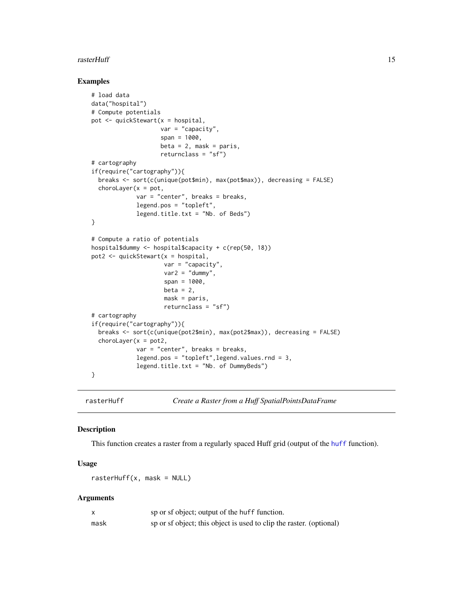#### <span id="page-14-0"></span>rasterHuff 15

#### Examples

```
# load data
data("hospital")
# Compute potentials
pot <- quickStewart(x = hospital,
                    var = "capacity".span = 1000,
                    beta = 2, mask = paris,
                    returnclass = "sf")
# cartography
if(require("cartography")){
  breaks <- sort(c(unique(pot$min), max(pot$max)), decreasing = FALSE)
  chorolayer(x = pot,var = "center", breaks = breaks,
             legend.pos = "topleft",
             legend.title.txt = "Nb. of Beds")
}
# Compute a ratio of potentials
hospital$dummy <- hospital$capacity + c(rep(50, 18))
pot2 <- quickStewart(x = hospital,
                     var = "capacity",
                     var2 = "dummy",span = 1000,
                     beta = 2,
                     mask = paris,
                     returnclass = "sf")
# cartography
if(require("cartography")){
  breaks <- sort(c(unique(pot2$min), max(pot2$max)), decreasing = FALSE)
  chorolayer(x = pot2,var = "center", breaks = breaks,
             legend.pos = "topleft",legend.values.rnd = 3,
             legend.title.txt = "Nb. of DummyBeds")
}
```
<span id="page-14-1"></span>rasterHuff *Create a Raster from a Huff SpatialPointsDataFrame*

## Description

This function creates a raster from a regularly spaced Huff grid (output of the [huff](#page-3-1) function).

## Usage

 $rasterHuff(x, mask = NULL)$ 

| x    | sp or sf object; output of the huff function.                       |
|------|---------------------------------------------------------------------|
| mask | sp or sf object; this object is used to clip the raster. (optional) |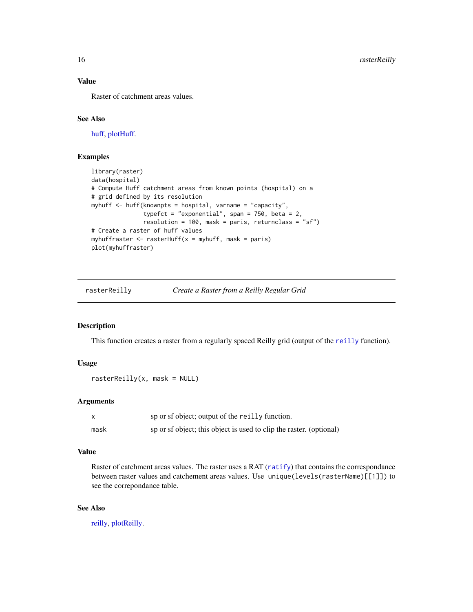## Value

Raster of catchment areas values.

## See Also

[huff,](#page-3-1) [plotHuff.](#page-9-1)

## Examples

```
library(raster)
data(hospital)
# Compute Huff catchment areas from known points (hospital) on a
# grid defined by its resolution
myhuff <- huff(knownpts = hospital, varname = "capacity",
               typefct = "exponential", span = 750, beta = 2,
               resolution = 100, mask = paris, returnclass = "sf")
# Create a raster of huff values
myhuffraster \leq rasterHuff(x = myhuff, mask = paris)
plot(myhuffraster)
```
<span id="page-15-1"></span>rasterReilly *Create a Raster from a Reilly Regular Grid*

#### Description

This function creates a raster from a regularly spaced Reilly grid (output of the [reilly](#page-17-1) function).

#### Usage

```
rasterReilly(x, mask = NULL)
```
## Arguments

|      | sp or sf object; output of the really function.                     |
|------|---------------------------------------------------------------------|
| mask | sp or sf object; this object is used to clip the raster. (optional) |

## Value

Raster of catchment areas values. The raster uses a RAT ([ratify](#page-0-0)) that contains the correspondance between raster values and catchement areas values. Use unique(levels(rasterName)[[1]]) to see the correpondance table.

## See Also

[reilly,](#page-17-1) [plotReilly.](#page-10-1)

<span id="page-15-0"></span>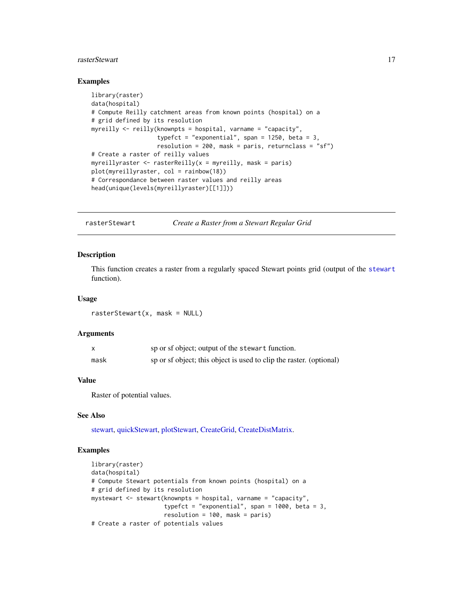#### <span id="page-16-0"></span>rasterStewart 17

#### Examples

```
library(raster)
data(hospital)
# Compute Reilly catchment areas from known points (hospital) on a
# grid defined by its resolution
myreilly <- reilly(knownpts = hospital, varname = "capacity",
                   typefct = "exponential", span = 1250, beta = 3,
                   resolution = 200, mask = paris, returnclass = "sf")
# Create a raster of reilly values
myreillyraster \leq rasterReilly(x = myreilly, mask = paris)
plot(myreillyraster, col = rainbow(18))
# Correspondance between raster values and reilly areas
head(unique(levels(myreillyraster)[[1]]))
```
<span id="page-16-1"></span>rasterStewart *Create a Raster from a Stewart Regular Grid*

#### Description

This function creates a raster from a regularly spaced Stewart points grid (output of the [stewart](#page-22-1) function).

#### Usage

```
rasterStewart(x, mask = NULL)
```
#### Arguments

|      | sp or sf object; output of the stewart function.                    |
|------|---------------------------------------------------------------------|
| mask | sp or sf object; this object is used to clip the raster. (optional) |

## Value

Raster of potential values.

#### See Also

[stewart,](#page-22-1) [quickStewart,](#page-12-1) [plotStewart,](#page-11-1) [CreateGrid,](#page-2-1) [CreateDistMatrix.](#page-1-1)

```
library(raster)
data(hospital)
# Compute Stewart potentials from known points (hospital) on a
# grid defined by its resolution
mystewart \leq stewart(knownpts = hospital, varname = "capacity",
                     typefct = "exponential", span = 1000, beta = 3,
                     resolution = 100, mask = paris)
# Create a raster of potentials values
```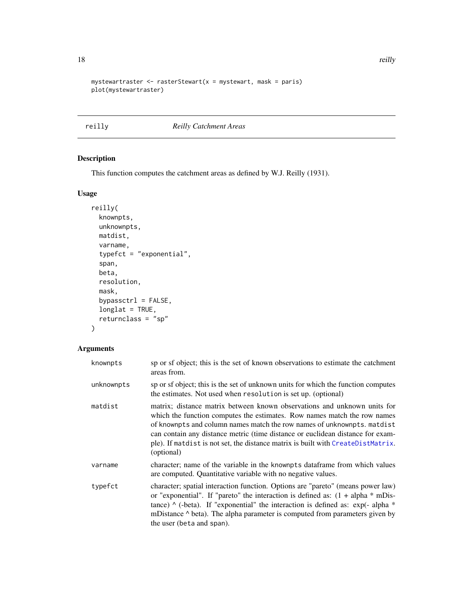```
mystewartraster \leq rasterStewart(x = mystewart, mask = paris)
plot(mystewartraster)
```
<span id="page-17-1"></span>reilly *Reilly Catchment Areas*

## Description

This function computes the catchment areas as defined by W.J. Reilly (1931).

## Usage

```
reilly(
 knownpts,
 unknownpts,
 matdist,
 varname,
  typefct = "exponential",
  span,
 beta,
 resolution,
 mask,
 bypassctrl = FALSE,
 longlat = TRUE,
  returnclass = "sp"
\mathcal{L}
```

| knownpts   | sp or sf object; this is the set of known observations to estimate the catchment<br>areas from.                                                                                                                                                                                                                                                                                                                     |
|------------|---------------------------------------------------------------------------------------------------------------------------------------------------------------------------------------------------------------------------------------------------------------------------------------------------------------------------------------------------------------------------------------------------------------------|
| unknownpts | sp or sf object; this is the set of unknown units for which the function computes<br>the estimates. Not used when resolution is set up. (optional)                                                                                                                                                                                                                                                                  |
| matdist    | matrix; distance matrix between known observations and unknown units for<br>which the function computes the estimates. Row names match the row names<br>of knownpts and column names match the row names of unknownpts. matdist<br>can contain any distance metric (time distance or euclidean distance for exam-<br>ple). If matdist is not set, the distance matrix is built with CreateDistMatrix.<br>(optional) |
| varname    | character; name of the variable in the knownpts dataframe from which values<br>are computed. Quantitative variable with no negative values.                                                                                                                                                                                                                                                                         |
| typefct    | character; spatial interaction function. Options are "pareto" (means power law)<br>or "exponential". If "pareto" the interaction is defined as: $(1 + alpha * mDis-$<br>tance) $\wedge$ (-beta). If "exponential" the interaction is defined as: exp(-alpha $*$<br>mDistance $\wedge$ beta). The alpha parameter is computed from parameters given by<br>the user (beta and span).                                  |

<span id="page-17-0"></span>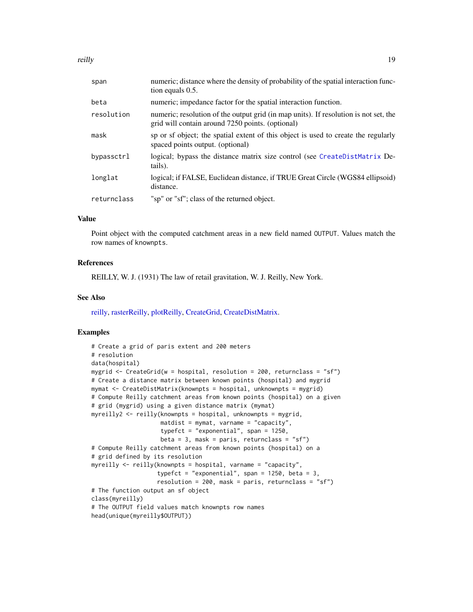<span id="page-18-0"></span>reilly the contract of the contract of the contract of the contract of the contract of the contract of the contract of the contract of the contract of the contract of the contract of the contract of the contract of the con

| span        | numeric; distance where the density of probability of the spatial interaction func-<br>tion equals 0.5.                                  |
|-------------|------------------------------------------------------------------------------------------------------------------------------------------|
| beta        | numeric; impedance factor for the spatial interaction function.                                                                          |
| resolution  | numeric; resolution of the output grid (in map units). If resolution is not set, the<br>grid will contain around 7250 points. (optional) |
| mask        | sp or sf object; the spatial extent of this object is used to create the regularly<br>spaced points output. (optional)                   |
| bypassctrl  | logical; bypass the distance matrix size control (see CreateDistMatrix De-<br>tails).                                                    |
| longlat     | logical; if FALSE, Euclidean distance, if TRUE Great Circle (WGS84 ellipsoid)<br>distance.                                               |
| returnclass | "sp" or "sf"; class of the returned object.                                                                                              |

## Value

Point object with the computed catchment areas in a new field named OUTPUT. Values match the row names of knownpts.

#### References

REILLY, W. J. (1931) The law of retail gravitation, W. J. Reilly, New York.

### See Also

[reilly,](#page-17-1) [rasterReilly,](#page-15-1) [plotReilly,](#page-10-1) [CreateGrid,](#page-2-1) [CreateDistMatrix.](#page-1-1)

```
# Create a grid of paris extent and 200 meters
# resolution
data(hospital)
mygrid <- CreateGrid(w = hospital, resolution = 200, returnclass = "sf")
# Create a distance matrix between known points (hospital) and mygrid
mymat <- CreateDistMatrix(knownpts = hospital, unknownpts = mygrid)
# Compute Reilly catchment areas from known points (hospital) on a given
# grid (mygrid) using a given distance matrix (mymat)
myreilly2 \leq reilly(knownpts = hospital, unknownpts = mygrid,
                    matdist = mymat, varname = "capacity",
                    typefct = "exponential", span = 1250,
                    beta = 3, mask = paris, returnclass = "sf")
# Compute Reilly catchment areas from known points (hospital) on a
# grid defined by its resolution
myreilly \le reilly(knownpts = hospital, varname = "capacity",
                   typefct = "exponential", span = 1250, beta = 3,
                   resolution = 200, mask = paris, returnclass = "sf")
# The function output an sf object
class(myreilly)
# The OUTPUT field values match knownpts row names
head(unique(myreilly$OUTPUT))
```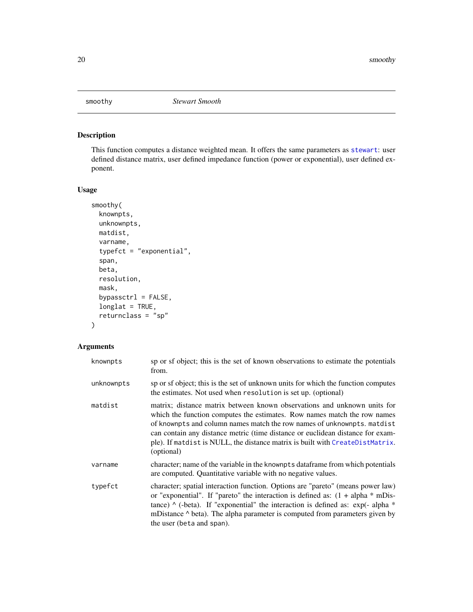<span id="page-19-0"></span>

## Description

This function computes a distance weighted mean. It offers the same parameters as [stewart](#page-22-1): user defined distance matrix, user defined impedance function (power or exponential), user defined exponent.

## Usage

```
smoothy(
 knownpts,
 unknownpts,
 matdist,
 varname,
  typefct = "exponential",
  span,
 beta,
 resolution,
 mask,
 bypassctrl = FALSE,
 longlat = TRUE,returnclass = "sp"
)
```

| knownpts   | sp or sf object; this is the set of known observations to estimate the potentials<br>from.                                                                                                                                                                                                                                                                                                                       |
|------------|------------------------------------------------------------------------------------------------------------------------------------------------------------------------------------------------------------------------------------------------------------------------------------------------------------------------------------------------------------------------------------------------------------------|
| unknownpts | sp or sf object; this is the set of unknown units for which the function computes<br>the estimates. Not used when resolution is set up. (optional)                                                                                                                                                                                                                                                               |
| matdist    | matrix; distance matrix between known observations and unknown units for<br>which the function computes the estimates. Row names match the row names<br>of knownpts and column names match the row names of unknownpts. matdist<br>can contain any distance metric (time distance or euclidean distance for exam-<br>ple). If matdist is NULL, the distance matrix is built with CreateDistMatrix.<br>(optional) |
| varname    | character; name of the variable in the knownpts dataframe from which potentials<br>are computed. Quantitative variable with no negative values.                                                                                                                                                                                                                                                                  |
| typefct    | character; spatial interaction function. Options are "pareto" (means power law)<br>or "exponential". If "pareto" the interaction is defined as: $(1 + alpha * mDis-$<br>tance) $\wedge$ (-beta). If "exponential" the interaction is defined as: exp(-alpha $*$<br>mDistance $\wedge$ beta). The alpha parameter is computed from parameters given by<br>the user (beta and span).                               |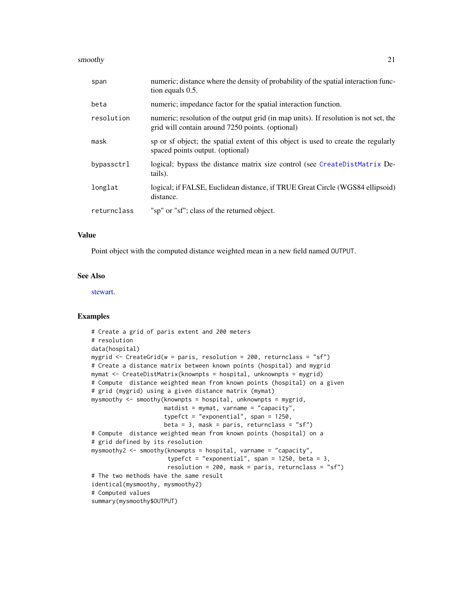#### <span id="page-20-0"></span>smoothy 21

| span        | numeric; distance where the density of probability of the spatial interaction func-<br>tion equals 0.5.                                  |
|-------------|------------------------------------------------------------------------------------------------------------------------------------------|
| beta        | numeric; impedance factor for the spatial interaction function.                                                                          |
| resolution  | numeric; resolution of the output grid (in map units). If resolution is not set, the<br>grid will contain around 7250 points. (optional) |
| mask        | sp or sf object; the spatial extent of this object is used to create the regularly<br>spaced points output. (optional)                   |
| bypassctrl  | logical; bypass the distance matrix size control (see CreateDistMatrix De-<br>tails).                                                    |
| longlat     | logical; if FALSE, Euclidean distance, if TRUE Great Circle (WGS84 ellipsoid)<br>distance.                                               |
| returnclass | "sp" or "sf"; class of the returned object.                                                                                              |

### Value

Point object with the computed distance weighted mean in a new field named OUTPUT.

#### See Also

[stewart.](#page-22-1)

```
# Create a grid of paris extent and 200 meters
# resolution
data(hospital)
mygrid <- CreateGrid(w = paris, resolution = 200, returnclass = "sf")
# Create a distance matrix between known points (hospital) and mygrid
mymat <- CreateDistMatrix(knownpts = hospital, unknownpts = mygrid)
# Compute distance weighted mean from known points (hospital) on a given
# grid (mygrid) using a given distance matrix (mymat)
mysmoothy <- smoothy(knownpts = hospital, unknownpts = mygrid,
                     matdist = mymat, varname = "capacity",
                     typefct = "exponential", span = 1250,
                     beta = 3, mask = paris, returnclass = "sf")
# Compute distance weighted mean from known points (hospital) on a
# grid defined by its resolution
mysmoothy2 <- smoothy(knownpts = hospital, varname = "capacity",
                      typefct = "exponential", span = 1250, beta = 3,
                      resolution = 200, mask = paris, returnclass = "sf")
# The two methods have the same result
identical(mysmoothy, mysmoothy2)
# Computed values
summary(mysmoothy$OUTPUT)
```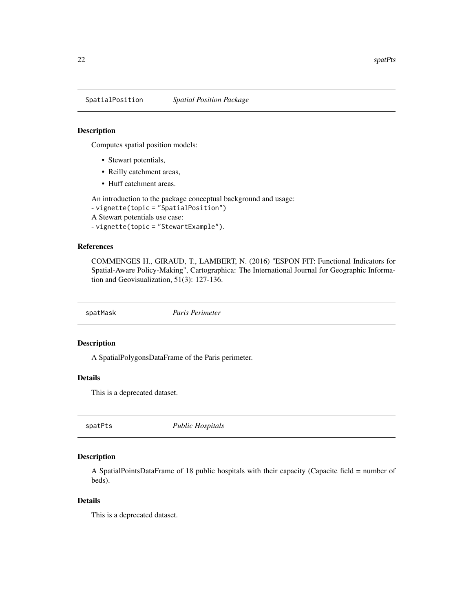<span id="page-21-0"></span>SpatialPosition *Spatial Position Package*

#### Description

Computes spatial position models:

- Stewart potentials,
- Reilly catchment areas,
- Huff catchment areas.

An introduction to the package conceptual background and usage:

```
- vignette(topic = "SpatialPosition")
A Stewart potentials use case:
```

```
- vignette(topic = "StewartExample").
```
#### References

COMMENGES H., GIRAUD, T., LAMBERT, N. (2016) "ESPON FIT: Functional Indicators for Spatial-Aware Policy-Making", Cartographica: The International Journal for Geographic Information and Geovisualization, 51(3): 127-136.

spatMask *Paris Perimeter*

## Description

A SpatialPolygonsDataFrame of the Paris perimeter.

### Details

This is a deprecated dataset.

spatPts *Public Hospitals*

#### Description

A SpatialPointsDataFrame of 18 public hospitals with their capacity (Capacite field = number of beds).

#### Details

This is a deprecated dataset.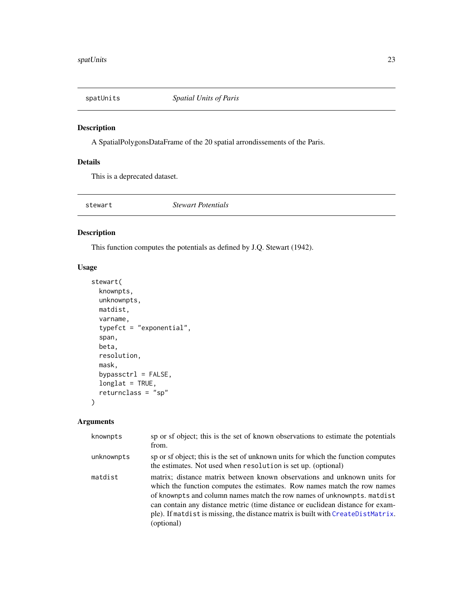<span id="page-22-0"></span>

## Description

A SpatialPolygonsDataFrame of the 20 spatial arrondissements of the Paris.

## Details

This is a deprecated dataset.

<span id="page-22-1"></span>stewart *Stewart Potentials*

## Description

This function computes the potentials as defined by J.Q. Stewart (1942).

## Usage

```
stewart(
  knownpts,
  unknownpts,
  matdist,
  varname,
  typefct = "exponential",
  span,
  beta,
  resolution,
  mask,
  bypassctrl = FALSE,
  longlat = TRUE,
  returnclass = "sp"
\mathcal{L}
```

| knownpts   | sp or sf object; this is the set of known observations to estimate the potentials<br>from.                                                                                                                                                                                                                                                                                                                          |
|------------|---------------------------------------------------------------------------------------------------------------------------------------------------------------------------------------------------------------------------------------------------------------------------------------------------------------------------------------------------------------------------------------------------------------------|
| unknownpts | sp or sf object; this is the set of unknown units for which the function computes<br>the estimates. Not used when resolution is set up. (optional)                                                                                                                                                                                                                                                                  |
| matdist    | matrix; distance matrix between known observations and unknown units for<br>which the function computes the estimates. Row names match the row names<br>of knownpts and column names match the row names of unknownpts. matdist<br>can contain any distance metric (time distance or euclidean distance for exam-<br>ple). If matdist is missing, the distance matrix is built with CreateDistMatrix.<br>(optional) |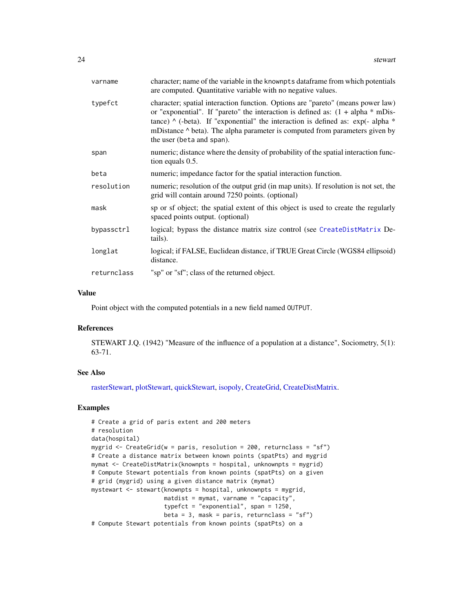<span id="page-23-0"></span>

| character; name of the variable in the knownpts dataframe from which potentials<br>are computed. Quantitative variable with no negative values.                                                                                                                                                                                                                                     |
|-------------------------------------------------------------------------------------------------------------------------------------------------------------------------------------------------------------------------------------------------------------------------------------------------------------------------------------------------------------------------------------|
| character; spatial interaction function. Options are "pareto" (means power law)<br>or "exponential". If "pareto" the interaction is defined as: $(1 + alpha * mDis-$<br>tance) $\wedge$ (-beta). If "exponential" the interaction is defined as: exp(- alpha $*$<br>mDistance $\wedge$ beta). The alpha parameter is computed from parameters given by<br>the user (beta and span). |
| numeric; distance where the density of probability of the spatial interaction func-<br>tion equals 0.5.                                                                                                                                                                                                                                                                             |
| numeric; impedance factor for the spatial interaction function.                                                                                                                                                                                                                                                                                                                     |
| numeric; resolution of the output grid (in map units). If resolution is not set, the<br>grid will contain around 7250 points. (optional)                                                                                                                                                                                                                                            |
| sp or sf object; the spatial extent of this object is used to create the regularly<br>spaced points output. (optional)                                                                                                                                                                                                                                                              |
| logical; bypass the distance matrix size control (see CreateDistMatrix De-<br>tails).                                                                                                                                                                                                                                                                                               |
| logical; if FALSE, Euclidean distance, if TRUE Great Circle (WGS84 ellipsoid)<br>distance.                                                                                                                                                                                                                                                                                          |
| "sp" or "sf"; class of the returned object.                                                                                                                                                                                                                                                                                                                                         |
|                                                                                                                                                                                                                                                                                                                                                                                     |

### Value

Point object with the computed potentials in a new field named OUTPUT.

#### References

STEWART J.Q. (1942) "Measure of the influence of a population at a distance", Sociometry, 5(1): 63-71.

#### See Also

[rasterStewart,](#page-16-1) [plotStewart,](#page-11-1) [quickStewart,](#page-12-1) [isopoly,](#page-5-1) [CreateGrid,](#page-2-1) [CreateDistMatrix.](#page-1-1)

```
# Create a grid of paris extent and 200 meters
# resolution
data(hospital)
mygrid <- CreateGrid(w = paris, resolution = 200, returnclass = "sf")
# Create a distance matrix between known points (spatPts) and mygrid
mymat <- CreateDistMatrix(knownpts = hospital, unknownpts = mygrid)
# Compute Stewart potentials from known points (spatPts) on a given
# grid (mygrid) using a given distance matrix (mymat)
mystewart <- stewart(knownpts = hospital, unknownpts = mygrid,
                    matdist = mymat, varname = "capacity",
                     typefct = "exponential", span = 1250,
                    beta = 3, mask = paris, returnclass = "sf")
# Compute Stewart potentials from known points (spatPts) on a
```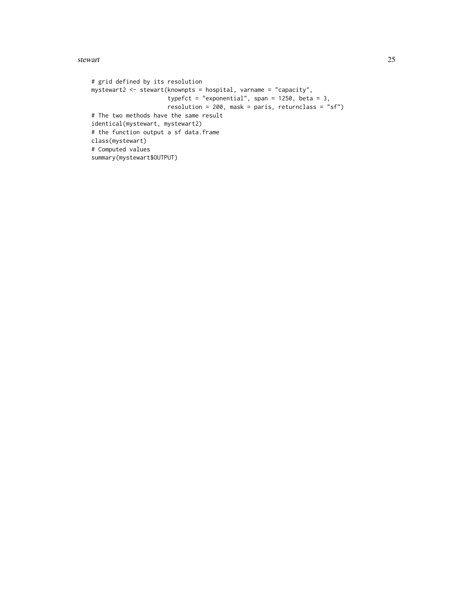#### stewart 25

# grid defined by its resolution mystewart2 <- stewart(knownpts = hospital, varname = "capacity", typefct = "exponential", span =  $1250$ , beta = 3, resolution = 200, mask = paris, returnclass = "sf") # The two methods have the same result identical(mystewart, mystewart2) # the function output a sf data.frame class(mystewart) # Computed values summary(mystewart\$OUTPUT)